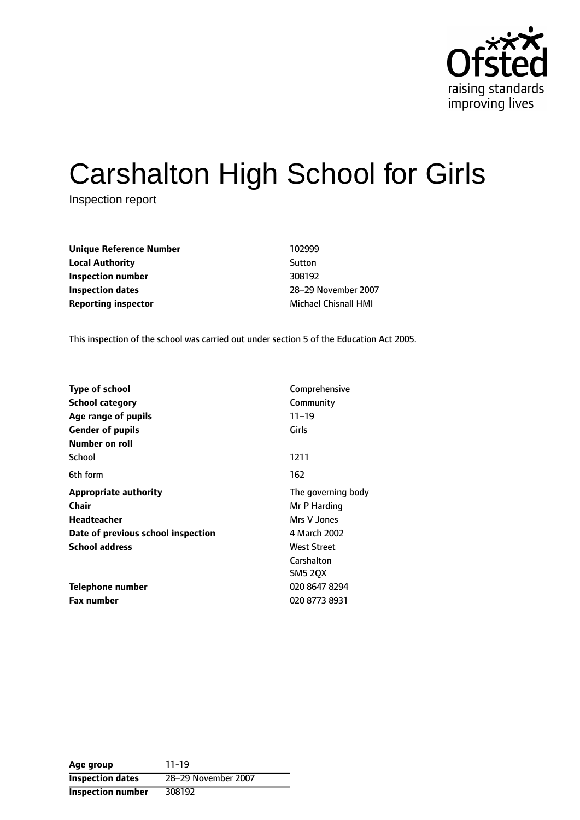

# Carshalton High School for Girls

Inspection report

**Unique Reference Number** 102999 **Local Authority** Sutton **Inspection number** 308192 **Inspection dates** 28-29 November 2007 **Reporting inspector** Michael Chisnall HMI

This inspection of the school was carried out under section 5 of the Education Act 2005.

| <b>Type of school</b><br><b>School category</b><br>Age range of pupils<br><b>Gender of pupils</b><br>Number on roll | Comprehensive<br>Community<br>$11 - 19$<br>Girls                                                                 |
|---------------------------------------------------------------------------------------------------------------------|------------------------------------------------------------------------------------------------------------------|
| School                                                                                                              | 1211                                                                                                             |
| 6th form                                                                                                            | 162                                                                                                              |
| <b>Appropriate authority</b><br>Chair<br>Headteacher<br>Date of previous school inspection<br><b>School address</b> | The governing body<br>Mr P Harding<br>Mrs V Jones<br>4 March 2002<br>West Street<br>Carshalton<br><b>SM5 2QX</b> |
| Telephone number<br><b>Fax number</b>                                                                               | 020 8647 8294<br>020 8773 8931                                                                                   |

**Age group** 11-19 **Inspection dates** 28-29 November 2007 **Inspection number** 308192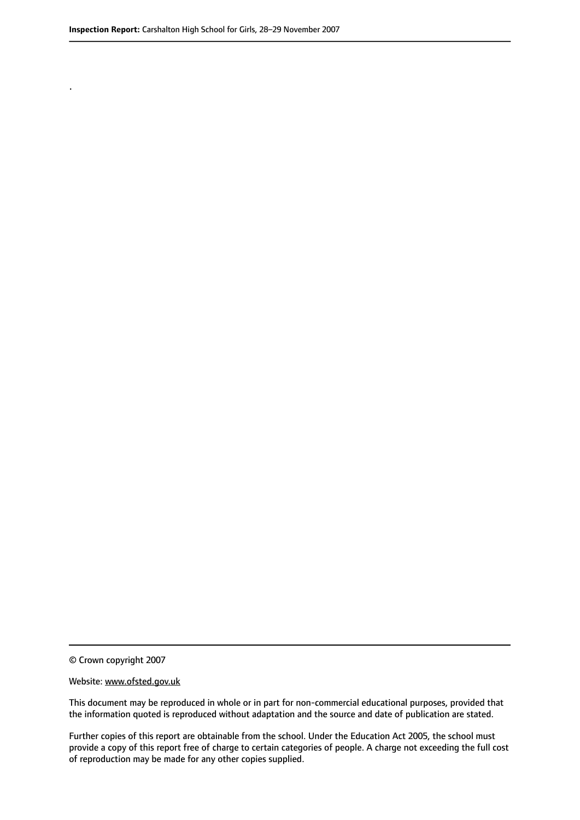.

© Crown copyright 2007

#### Website: www.ofsted.gov.uk

This document may be reproduced in whole or in part for non-commercial educational purposes, provided that the information quoted is reproduced without adaptation and the source and date of publication are stated.

Further copies of this report are obtainable from the school. Under the Education Act 2005, the school must provide a copy of this report free of charge to certain categories of people. A charge not exceeding the full cost of reproduction may be made for any other copies supplied.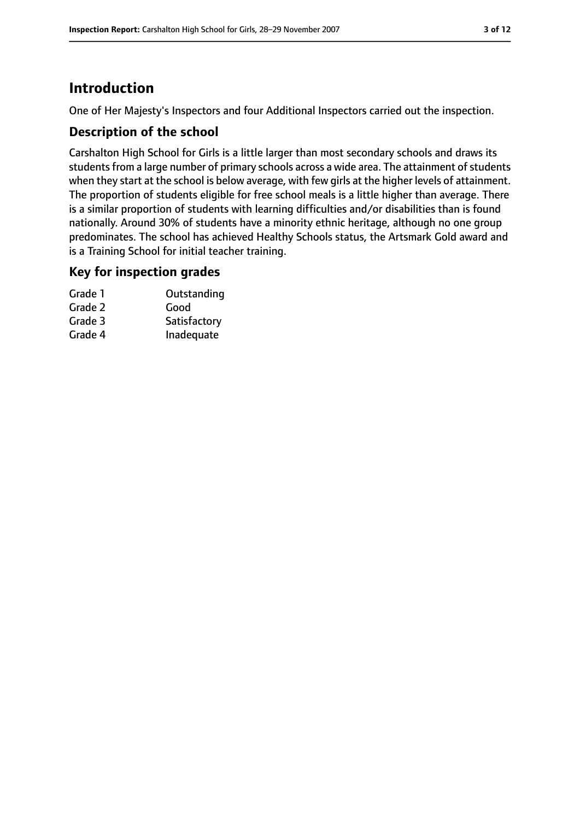# **Introduction**

One of Her Majesty's Inspectors and four Additional Inspectors carried out the inspection.

## **Description of the school**

Carshalton High School for Girls is a little larger than most secondary schools and draws its students from a large number of primary schools across a wide area. The attainment of students when they start at the school is below average, with few girls at the higher levels of attainment. The proportion of students eligible for free school meals is a little higher than average. There is a similar proportion of students with learning difficulties and/or disabilities than is found nationally. Around 30% of students have a minority ethnic heritage, although no one group predominates. The school has achieved Healthy Schools status, the Artsmark Gold award and is a Training School for initial teacher training.

## **Key for inspection grades**

| Grade 1 | Outstanding  |
|---------|--------------|
| Grade 2 | Good         |
| Grade 3 | Satisfactory |
| Grade 4 | Inadequate   |
|         |              |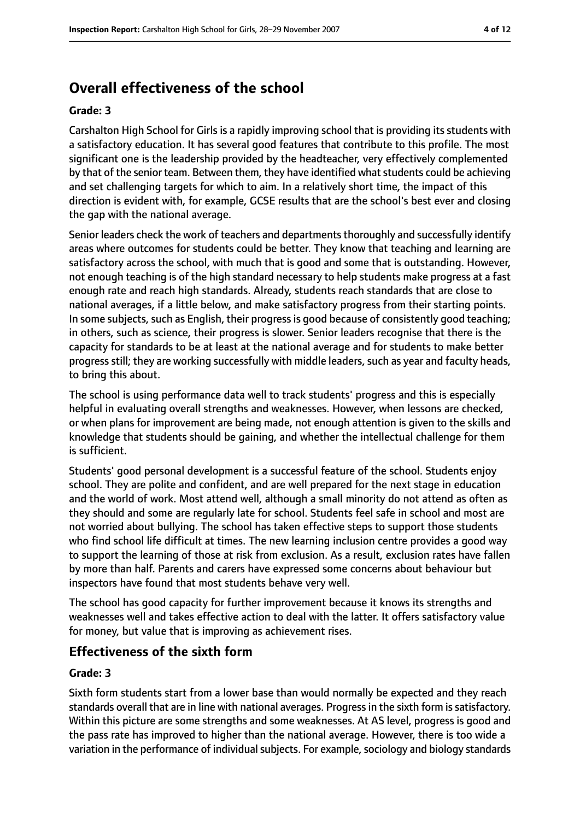# **Overall effectiveness of the school**

#### **Grade: 3**

Carshalton High School for Girls is a rapidly improving school that is providing its students with a satisfactory education. It has several good features that contribute to this profile. The most significant one is the leadership provided by the headteacher, very effectively complemented by that of the senior team. Between them, they have identified what students could be achieving and set challenging targets for which to aim. In a relatively short time, the impact of this direction is evident with, for example, GCSE results that are the school's best ever and closing the gap with the national average.

Senior leaders check the work of teachers and departments thoroughly and successfully identify areas where outcomes for students could be better. They know that teaching and learning are satisfactory across the school, with much that is good and some that is outstanding. However, not enough teaching is of the high standard necessary to help students make progress at a fast enough rate and reach high standards. Already, students reach standards that are close to national averages, if a little below, and make satisfactory progress from their starting points. In some subjects, such as English, their progress is good because of consistently good teaching; in others, such as science, their progress is slower. Senior leaders recognise that there is the capacity for standards to be at least at the national average and for students to make better progress still; they are working successfully with middle leaders, such as year and faculty heads, to bring this about.

The school is using performance data well to track students' progress and this is especially helpful in evaluating overall strengths and weaknesses. However, when lessons are checked, or when plans for improvement are being made, not enough attention is given to the skills and knowledge that students should be gaining, and whether the intellectual challenge for them is sufficient.

Students' good personal development is a successful feature of the school. Students enjoy school. They are polite and confident, and are well prepared for the next stage in education and the world of work. Most attend well, although a small minority do not attend as often as they should and some are regularly late for school. Students feel safe in school and most are not worried about bullying. The school has taken effective steps to support those students who find school life difficult at times. The new learning inclusion centre provides a good way to support the learning of those at risk from exclusion. As a result, exclusion rates have fallen by more than half. Parents and carers have expressed some concerns about behaviour but inspectors have found that most students behave very well.

The school has good capacity for further improvement because it knows its strengths and weaknesses well and takes effective action to deal with the latter. It offers satisfactory value for money, but value that is improving as achievement rises.

## **Effectiveness of the sixth form**

#### **Grade: 3**

Sixth form students start from a lower base than would normally be expected and they reach standards overall that are in line with national averages. Progress in the sixth form is satisfactory. Within this picture are some strengths and some weaknesses. At AS level, progress is good and the pass rate has improved to higher than the national average. However, there is too wide a variation in the performance of individual subjects. For example, sociology and biology standards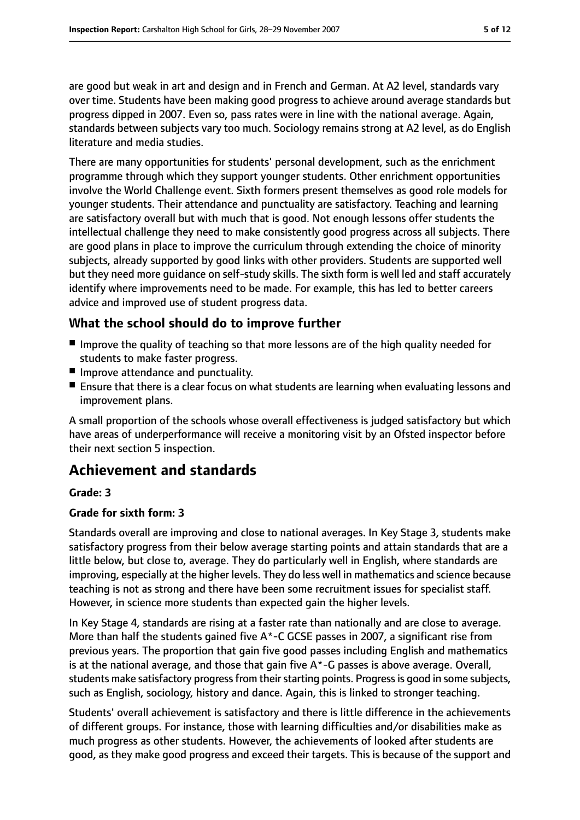are good but weak in art and design and in French and German. At A2 level, standards vary over time. Students have been making good progress to achieve around average standards but progress dipped in 2007. Even so, pass rates were in line with the national average. Again, standards between subjects vary too much. Sociology remains strong at A2 level, as do English literature and media studies.

There are many opportunities for students' personal development, such as the enrichment programme through which they support younger students. Other enrichment opportunities involve the World Challenge event. Sixth formers present themselves as good role models for younger students. Their attendance and punctuality are satisfactory. Teaching and learning are satisfactory overall but with much that is good. Not enough lessons offer students the intellectual challenge they need to make consistently good progress across all subjects. There are good plans in place to improve the curriculum through extending the choice of minority subjects, already supported by good links with other providers. Students are supported well but they need more guidance on self-study skills. The sixth form is well led and staff accurately identify where improvements need to be made. For example, this has led to better careers advice and improved use of student progress data.

# **What the school should do to improve further**

- Improve the quality of teaching so that more lessons are of the high quality needed for students to make faster progress.
- Improve attendance and punctuality.
- Ensure that there is a clear focus on what students are learning when evaluating lessons and improvement plans.

A small proportion of the schools whose overall effectiveness is judged satisfactory but which have areas of underperformance will receive a monitoring visit by an Ofsted inspector before their next section 5 inspection.

# **Achievement and standards**

#### **Grade: 3**

#### **Grade for sixth form: 3**

Standards overall are improving and close to national averages. In Key Stage 3, students make satisfactory progress from their below average starting points and attain standards that are a little below, but close to, average. They do particularly well in English, where standards are improving, especially at the higher levels. They do less well in mathematics and science because teaching is not as strong and there have been some recruitment issues for specialist staff. However, in science more students than expected gain the higher levels.

In Key Stage 4, standards are rising at a faster rate than nationally and are close to average. More than half the students gained five A\*-C GCSE passes in 2007, a significant rise from previous years. The proportion that gain five good passes including English and mathematics is at the national average, and those that gain five  $A^*$ -G passes is above average. Overall, students make satisfactory progress from their starting points. Progress is good in some subjects, such as English, sociology, history and dance. Again, this is linked to stronger teaching.

Students' overall achievement is satisfactory and there is little difference in the achievements of different groups. For instance, those with learning difficulties and/or disabilities make as much progress as other students. However, the achievements of looked after students are good, as they make good progress and exceed their targets. This is because of the support and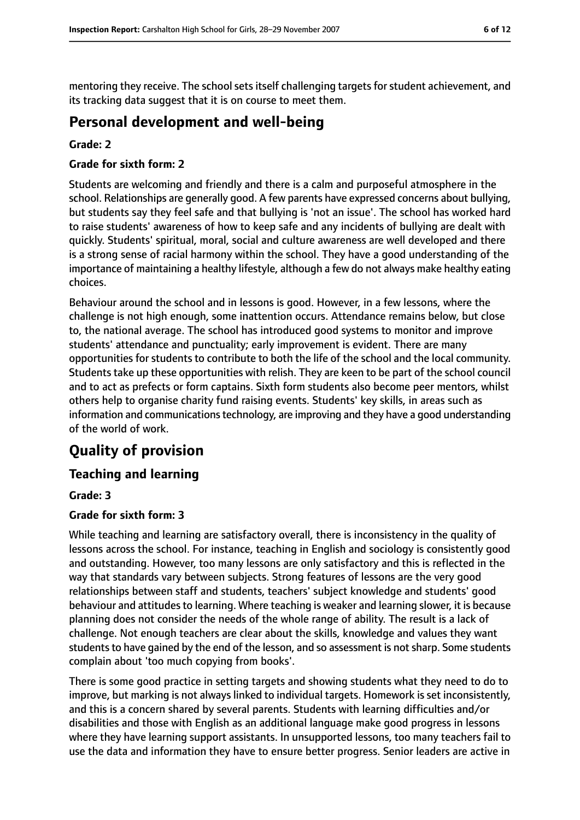mentoring they receive. The school sets itself challenging targets for student achievement, and its tracking data suggest that it is on course to meet them.

# **Personal development and well-being**

#### **Grade: 2**

#### **Grade for sixth form: 2**

Students are welcoming and friendly and there is a calm and purposeful atmosphere in the school. Relationships are generally good. A few parents have expressed concerns about bullying, but students say they feel safe and that bullying is 'not an issue'. The school has worked hard to raise students' awareness of how to keep safe and any incidents of bullying are dealt with quickly. Students' spiritual, moral, social and culture awareness are well developed and there is a strong sense of racial harmony within the school. They have a good understanding of the importance of maintaining a healthy lifestyle, although a few do not always make healthy eating choices.

Behaviour around the school and in lessons is good. However, in a few lessons, where the challenge is not high enough, some inattention occurs. Attendance remains below, but close to, the national average. The school has introduced good systems to monitor and improve students' attendance and punctuality; early improvement is evident. There are many opportunities for students to contribute to both the life of the school and the local community. Students take up these opportunities with relish. They are keen to be part of the school council and to act as prefects or form captains. Sixth form students also become peer mentors, whilst others help to organise charity fund raising events. Students' key skills, in areas such as information and communications technology, are improving and they have a good understanding of the world of work.

# **Quality of provision**

# **Teaching and learning**

#### **Grade: 3**

#### **Grade for sixth form: 3**

While teaching and learning are satisfactory overall, there is inconsistency in the quality of lessons across the school. For instance, teaching in English and sociology is consistently good and outstanding. However, too many lessons are only satisfactory and this is reflected in the way that standards vary between subjects. Strong features of lessons are the very good relationships between staff and students, teachers' subject knowledge and students' good behaviour and attitudes to learning. Where teaching is weaker and learning slower, it is because planning does not consider the needs of the whole range of ability. The result is a lack of challenge. Not enough teachers are clear about the skills, knowledge and values they want students to have gained by the end of the lesson, and so assessment is not sharp. Some students complain about 'too much copying from books'.

There is some good practice in setting targets and showing students what they need to do to improve, but marking is not always linked to individual targets. Homework is set inconsistently, and this is a concern shared by several parents. Students with learning difficulties and/or disabilities and those with English as an additional language make good progress in lessons where they have learning support assistants. In unsupported lessons, too many teachers fail to use the data and information they have to ensure better progress. Senior leaders are active in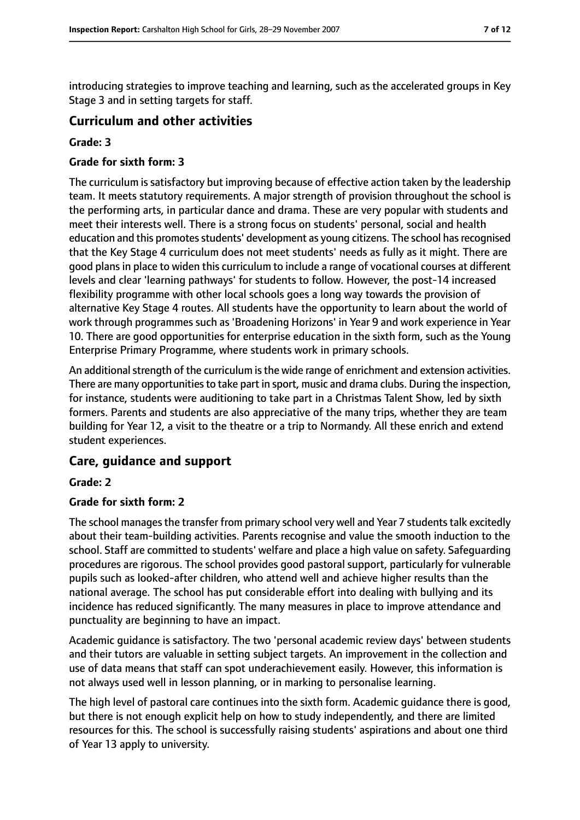introducing strategies to improve teaching and learning, such as the accelerated groups in Key Stage 3 and in setting targets for staff.

## **Curriculum and other activities**

#### **Grade: 3**

#### **Grade for sixth form: 3**

The curriculum is satisfactory but improving because of effective action taken by the leadership team. It meets statutory requirements. A major strength of provision throughout the school is the performing arts, in particular dance and drama. These are very popular with students and meet their interests well. There is a strong focus on students' personal, social and health education and this promotes students' development as young citizens. The school has recognised that the Key Stage 4 curriculum does not meet students' needs as fully as it might. There are good plans in place to widen this curriculum to include a range of vocational courses at different levels and clear 'learning pathways' for students to follow. However, the post-14 increased flexibility programme with other local schools goes a long way towards the provision of alternative Key Stage 4 routes. All students have the opportunity to learn about the world of work through programmes such as 'Broadening Horizons' in Year 9 and work experience in Year 10. There are good opportunities for enterprise education in the sixth form, such as the Young Enterprise Primary Programme, where students work in primary schools.

An additional strength of the curriculum is the wide range of enrichment and extension activities. There are many opportunities to take part in sport, music and drama clubs. During the inspection, for instance, students were auditioning to take part in a Christmas Talent Show, led by sixth formers. Parents and students are also appreciative of the many trips, whether they are team building for Year 12, a visit to the theatre or a trip to Normandy. All these enrich and extend student experiences.

# **Care, guidance and support**

#### **Grade: 2**

## **Grade for sixth form: 2**

The school manages the transfer from primary school very well and Year 7 students talk excitedly about their team-building activities. Parents recognise and value the smooth induction to the school. Staff are committed to students' welfare and place a high value on safety. Safeguarding procedures are rigorous. The school provides good pastoral support, particularly for vulnerable pupils such as looked-after children, who attend well and achieve higher results than the national average. The school has put considerable effort into dealing with bullying and its incidence has reduced significantly. The many measures in place to improve attendance and punctuality are beginning to have an impact.

Academic guidance is satisfactory. The two 'personal academic review days' between students and their tutors are valuable in setting subject targets. An improvement in the collection and use of data means that staff can spot underachievement easily. However, this information is not always used well in lesson planning, or in marking to personalise learning.

The high level of pastoral care continues into the sixth form. Academic guidance there is good, but there is not enough explicit help on how to study independently, and there are limited resources for this. The school is successfully raising students' aspirations and about one third of Year 13 apply to university.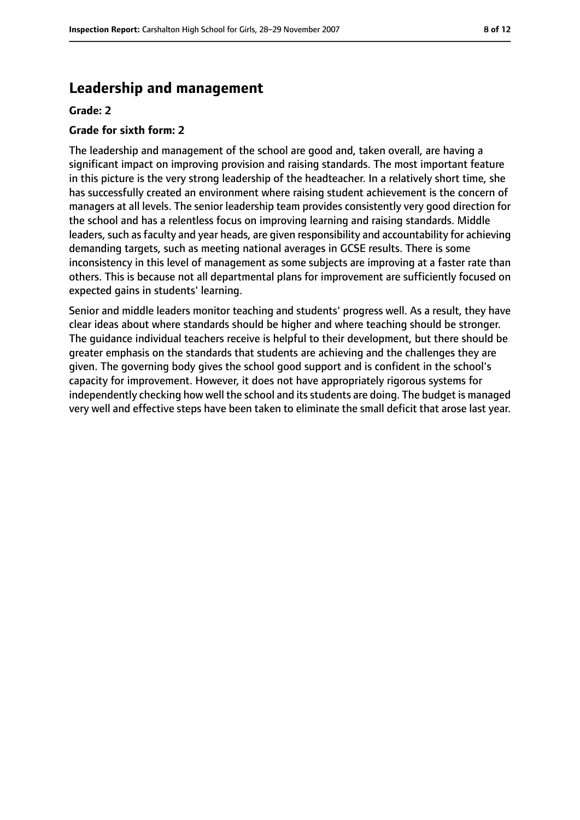# **Leadership and management**

#### **Grade: 2**

#### **Grade for sixth form: 2**

The leadership and management of the school are good and, taken overall, are having a significant impact on improving provision and raising standards. The most important feature in this picture is the very strong leadership of the headteacher. In a relatively short time, she has successfully created an environment where raising student achievement is the concern of managers at all levels. The senior leadership team provides consistently very good direction for the school and has a relentless focus on improving learning and raising standards. Middle leaders, such as faculty and year heads, are given responsibility and accountability for achieving demanding targets, such as meeting national averages in GCSE results. There is some inconsistency in this level of management as some subjects are improving at a faster rate than others. This is because not all departmental plans for improvement are sufficiently focused on expected gains in students' learning.

Senior and middle leaders monitor teaching and students' progress well. As a result, they have clear ideas about where standards should be higher and where teaching should be stronger. The guidance individual teachers receive is helpful to their development, but there should be greater emphasis on the standards that students are achieving and the challenges they are given. The governing body gives the school good support and is confident in the school's capacity for improvement. However, it does not have appropriately rigorous systems for independently checking how well the school and itsstudents are doing. The budget is managed very well and effective steps have been taken to eliminate the small deficit that arose last year.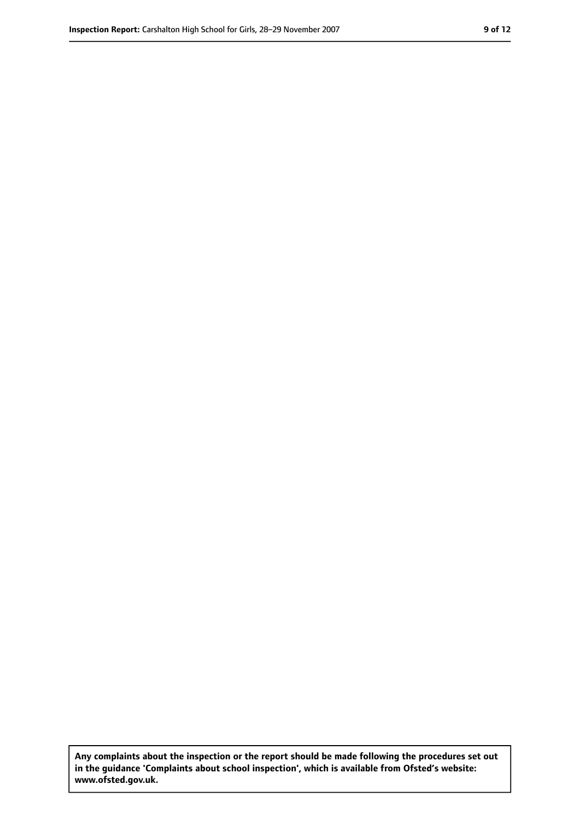**Any complaints about the inspection or the report should be made following the procedures set out in the guidance 'Complaints about school inspection', which is available from Ofsted's website: www.ofsted.gov.uk.**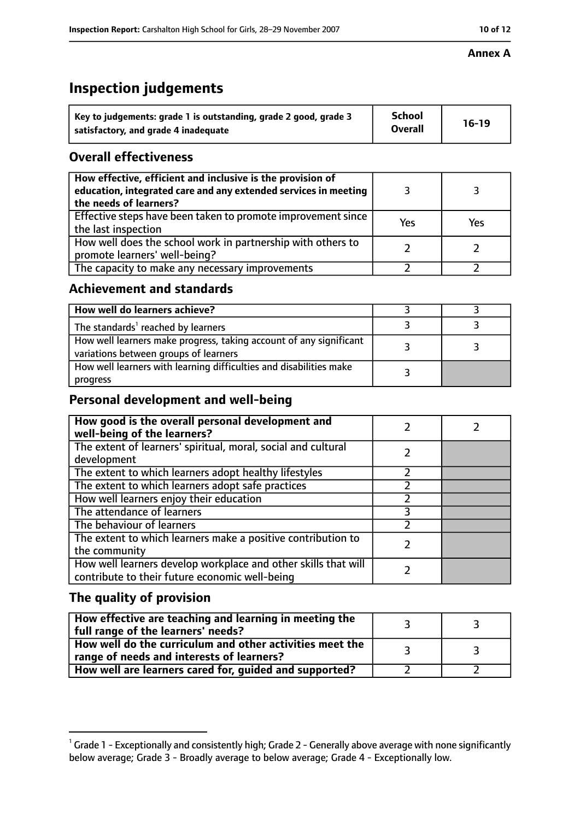#### **Annex A**

# **Inspection judgements**

| Key to judgements: grade 1 is outstanding, grade 2 good, grade 3 | School         | $16-19$ |
|------------------------------------------------------------------|----------------|---------|
| satisfactory, and grade 4 inadequate                             | <b>Overall</b> |         |

# **Overall effectiveness**

| How effective, efficient and inclusive is the provision of<br>education, integrated care and any extended services in meeting<br>the needs of learners? |     |     |
|---------------------------------------------------------------------------------------------------------------------------------------------------------|-----|-----|
| Effective steps have been taken to promote improvement since<br>the last inspection                                                                     | Yes | Yes |
| How well does the school work in partnership with others to<br>promote learners' well-being?                                                            |     |     |
| The capacity to make any necessary improvements                                                                                                         |     |     |

# **Achievement and standards**

| How well do learners achieve?                                                                               |  |
|-------------------------------------------------------------------------------------------------------------|--|
| The standards <sup>1</sup> reached by learners                                                              |  |
| How well learners make progress, taking account of any significant<br>variations between groups of learners |  |
| How well learners with learning difficulties and disabilities make<br>progress                              |  |

# **Personal development and well-being**

| How good is the overall personal development and<br>well-being of the learners?                                  |  |
|------------------------------------------------------------------------------------------------------------------|--|
| The extent of learners' spiritual, moral, social and cultural                                                    |  |
| development                                                                                                      |  |
| The extent to which learners adopt healthy lifestyles                                                            |  |
| The extent to which learners adopt safe practices                                                                |  |
| How well learners enjoy their education                                                                          |  |
| The attendance of learners                                                                                       |  |
| The behaviour of learners                                                                                        |  |
| The extent to which learners make a positive contribution to<br>the community                                    |  |
| How well learners develop workplace and other skills that will<br>contribute to their future economic well-being |  |

# **The quality of provision**

| How effective are teaching and learning in meeting the<br>full range of the learners' needs?          |    |
|-------------------------------------------------------------------------------------------------------|----|
| How well do the curriculum and other activities meet the<br>range of needs and interests of learners? | ્ર |
| How well are learners cared for, guided and supported?                                                |    |

 $^1$  Grade 1 - Exceptionally and consistently high; Grade 2 - Generally above average with none significantly below average; Grade 3 - Broadly average to below average; Grade 4 - Exceptionally low.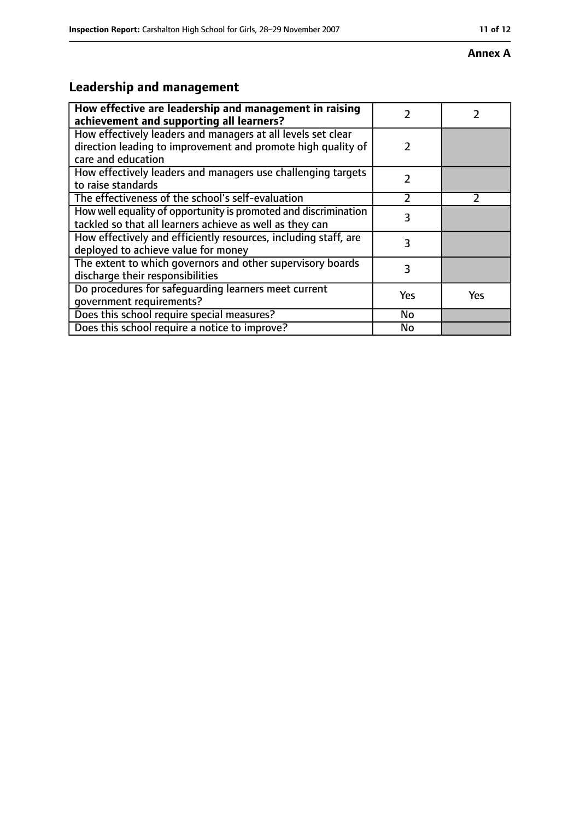#### **Annex A**

# **Leadership and management**

| How effective are leadership and management in raising<br>achievement and supporting all learners?                                                 | 7             |               |
|----------------------------------------------------------------------------------------------------------------------------------------------------|---------------|---------------|
| How effectively leaders and managers at all levels set clear<br>direction leading to improvement and promote high quality of<br>care and education | $\mathcal{P}$ |               |
| How effectively leaders and managers use challenging targets<br>to raise standards                                                                 | 2             |               |
| The effectiveness of the school's self-evaluation                                                                                                  | フ             | $\mathcal{P}$ |
| How well equality of opportunity is promoted and discrimination<br>tackled so that all learners achieve as well as they can                        | 3             |               |
| How effectively and efficiently resources, including staff, are<br>deployed to achieve value for money                                             | 3             |               |
| The extent to which governors and other supervisory boards<br>discharge their responsibilities                                                     | 3             |               |
| Do procedures for safeguarding learners meet current<br>qovernment requirements?                                                                   | Yes           | <b>Yes</b>    |
| Does this school require special measures?                                                                                                         | No            |               |
| Does this school require a notice to improve?                                                                                                      | No            |               |